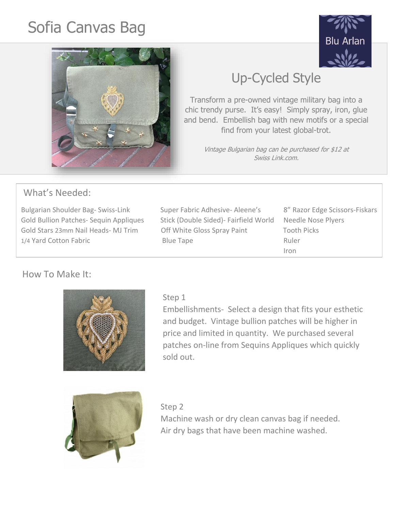# Sofia Canvas Bag





## Up-Cycled Style

Transform a pre-owned vintage military bag into a chic trendy purse. It's easy! Simply spray, iron, glue and bend. Embellish bag with new motifs or a special find from your latest global-trot.

> Vintage Bulgarian bag can be purchased for \$12 at Swiss Link.com.

## What's Needed:

Bulgarian Shoulder Bag- Swiss-Link Super Fabric Adhesive- Aleene's 8" Razor Edge Scissors-Fiskars Gold Bullion Patches- Sequin Appliques Stick (Double Sided)- Fairfield World Needle Nose Plyers Gold Stars 23mm Nail Heads- MJ Trim Off White Gloss Spray Paint Tooth Picks 1/4 Yard Cotton Fabric **Blue Tape** Blue Tape Ruler

Iron

## How To Make It:



## Step 1

Embellishments- Select a design that fits your esthetic and budget. Vintage bullion patches will be higher in price and limited in quantity. We purchased several patches on-line from Sequins Appliques which quickly sold out.



Step 2 Machine wash or dry clean canvas bag if needed. Air dry bags that have been machine washed.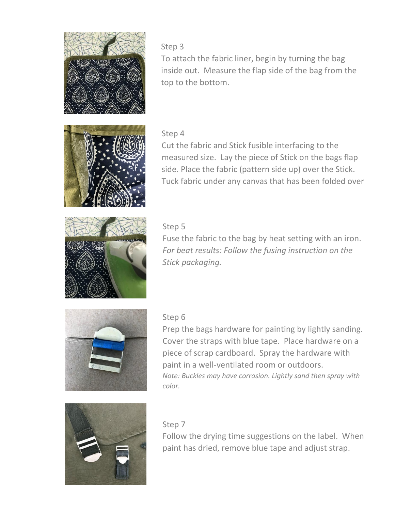

## Step 3

To attach the fabric liner, begin by turning the bag inside out. Measure the flap side of the bag from the top to the bottom.

## Step 4



s: side. Place the fabric (pattern side up) over the Stick. Cut the fabric and Stick fusible interfacing to the measured size. Lay the piece of Stick on the bags flap Tuck fabric under any canvas that has been folded over



## Step 5

Fuse the fabric to the bag by heat setting with an iron. *For beat results: Follow the fusing instruction on the Stick packaging.* 



#### Step 6

Prep the bags hardware for painting by lightly sanding. Cover the straps with blue tape. Place hardware on a piece of scrap cardboard. Spray the hardware with paint in a well-ventilated room or outdoors. *Note: Buckles may have corrosion. Lightly sand then spray with color.*



#### Step 7

Follow the drying time suggestions on the label. When paint has dried, remove blue tape and adjust strap.